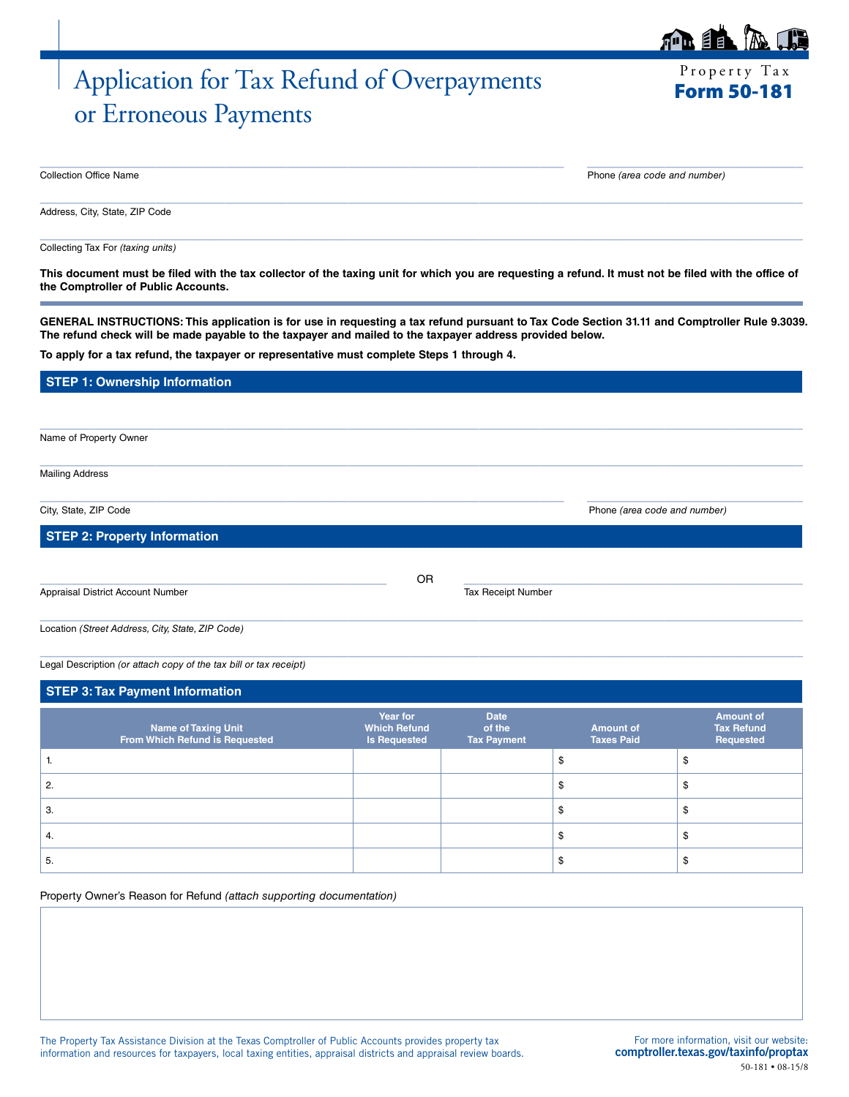# Application for Tax Refund of Overpayments or Erroneous Payments

 $P$  roperty

| <b>Form 50-18</b> |  |  |
|-------------------|--|--|
|-------------------|--|--|

| Collection<br>$\ddotsc$<br>ำttice Name<br>. | , numher<br>1.25<br>. .<br><br>.<br>. |
|---------------------------------------------|---------------------------------------|

Phone (area code and number)

Address, City, State, ZIP Code

Collecting Tax For *(taxing units)*

**This document must be filed with the tax collector of the taxing unit for which you are requesting a refund. It must not be filed with the office of the Comptroller of Public Accounts.**

 $\_$  , and the set of the set of the set of the set of the set of the set of the set of the set of the set of the set of the set of the set of the set of the set of the set of the set of the set of the set of the set of th

 $\_$  ,  $\_$  ,  $\_$  ,  $\_$  ,  $\_$  ,  $\_$  ,  $\_$  ,  $\_$  ,  $\_$  ,  $\_$  ,  $\_$  ,  $\_$  ,  $\_$  ,  $\_$  ,  $\_$  ,  $\_$  ,  $\_$  ,  $\_$  ,  $\_$  ,  $\_$  ,  $\_$  ,  $\_$  ,  $\_$  ,  $\_$  ,  $\_$  ,  $\_$  ,  $\_$  ,  $\_$  ,  $\_$  ,  $\_$  ,  $\_$  ,  $\_$  ,  $\_$  ,  $\_$  ,  $\_$  ,  $\_$  ,  $\_$  ,

**GENERAL INSTRUCTIONS: This application is for use in requesting a tax refund pursuant to Tax Code Section 31.11 and Comptroller Rule 9.3039. The refund check will be made payable to the taxpayer and mailed to the taxpayer address provided below.**

 $\_$  , and the set of the set of the set of the set of the set of the set of the set of the set of the set of the set of the set of the set of the set of the set of the set of the set of the set of the set of the set of th

 $\_$  ,  $\_$  ,  $\_$  ,  $\_$  ,  $\_$  ,  $\_$  ,  $\_$  ,  $\_$  ,  $\_$  ,  $\_$  ,  $\_$  ,  $\_$  ,  $\_$  ,  $\_$  ,  $\_$  ,  $\_$  ,  $\_$  ,  $\_$  ,  $\_$  ,  $\_$  ,  $\_$  ,  $\_$  ,  $\_$  ,  $\_$  ,  $\_$  ,  $\_$  ,  $\_$  ,  $\_$  ,  $\_$  ,  $\_$  ,  $\_$  ,  $\_$  ,  $\_$  ,  $\_$  ,  $\_$  ,  $\_$  ,  $\_$  ,

**To apply for a tax refund, the taxpayer or representative must complete Steps 1 through 4.**

## **STEP 1: Ownership Information**

Name of Property Owner

Mailing Address

 $\_$  ,  $\_$  ,  $\_$  ,  $\_$  ,  $\_$  ,  $\_$  ,  $\_$  ,  $\_$  ,  $\_$  ,  $\_$  ,  $\_$  ,  $\_$  ,  $\_$  ,  $\_$  ,  $\_$  ,  $\_$  ,  $\_$  ,  $\_$  ,  $\_$  ,  $\_$  ,  $\_$  ,  $\_$  ,  $\_$  ,  $\_$  ,  $\_$  ,  $\_$  ,  $\_$  ,  $\_$  ,  $\_$  ,  $\_$  ,  $\_$  ,  $\_$  ,  $\_$  ,  $\_$  ,  $\_$  ,  $\_$  ,  $\_$  , City, State, ZIP Code Phone *(area code and number)*

**STEP 2: Property Information**

Appraisal District Account Number **Tax Receipt Number** Tax Receipt Number

 $_{\rm OR}$   $_{\rm ---}$  . The contract of the contract of  $_{\rm OR}$  ,  $_{\rm ---}$  . The contract of  $_{\rm OR}$  ,  $_{\rm ---}$  . The contract of  $_{\rm OR}$ OR

 $\_$  ,  $\_$  ,  $\_$  ,  $\_$  ,  $\_$  ,  $\_$  ,  $\_$  ,  $\_$  ,  $\_$  ,  $\_$  ,  $\_$  ,  $\_$  ,  $\_$  ,  $\_$  ,  $\_$  ,  $\_$  ,  $\_$  ,  $\_$  ,  $\_$  ,  $\_$  ,  $\_$  ,  $\_$  ,  $\_$  ,  $\_$  ,  $\_$  ,  $\_$  ,  $\_$  ,  $\_$  ,  $\_$  ,  $\_$  ,  $\_$  ,  $\_$  ,  $\_$  ,  $\_$  ,  $\_$  ,  $\_$  ,  $\_$  ,

 $\_$  , and the set of the set of the set of the set of the set of the set of the set of the set of the set of the set of the set of the set of the set of the set of the set of the set of the set of the set of the set of th

Location *(Street Address, City, State, ZIP Code)*

Legal Description *(or attach copy of the tax bill or tax receipt)*

#### 4. Set of  $\sim$  5  $\pm$  5  $\sim$  5  $\pm$  5  $\pm$  5  $\pm$  5  $\pm$  5  $\pm$  5  $\pm$  5  $\pm$  5  $\pm$  5  $\pm$  5  $\pm$  5  $\pm$  5  $\pm$  5  $\pm$  5  $\pm$  5  $\pm$  5  $\pm$  5  $\pm$  5  $\pm$  5  $\pm$  5  $\pm$  5  $\pm$  5  $\pm$  5  $\pm$  5  $\pm$  5  $\pm$  5  $\pm$  5  $\pm$  5 5. So the set of the set of the set of the set of the set of the set of the set of the set of the set of the set of the set of the set of the set of the set of the set of the set of the set of the set of the set of the se **STEP 3: Tax Payment Information Name of Taxing Unit From Which Refund is Requested Year for Which Refund Is Requested Date of the Tax Payment Amount of Taxes Paid Amount of Tax Refund Requested** 1. the set of the set of the set of the set of the set of the set of the set of the set of the set of the set o 2. the contract of the contract of the contract of the contract of  $\mathfrak s$  and  $\mathfrak s$ 3. Solution of the contract of the contract of the contract of the contract of  $\mathbb S$

Property Owner's Reason for Refund *(attach supporting documentation)*

The Property Tax Assistance Division at the Texas Comptroller of Public Accounts provides property tax information and resources for taxpayers, local taxing entities, appraisal districts and appraisal review boards.

For more information, visit our website: [comptroller.texas.gov/taxinfo/proptax](http://comptroller.texas.gov/taxinfo/proptax) 50-181 • 08-15/8